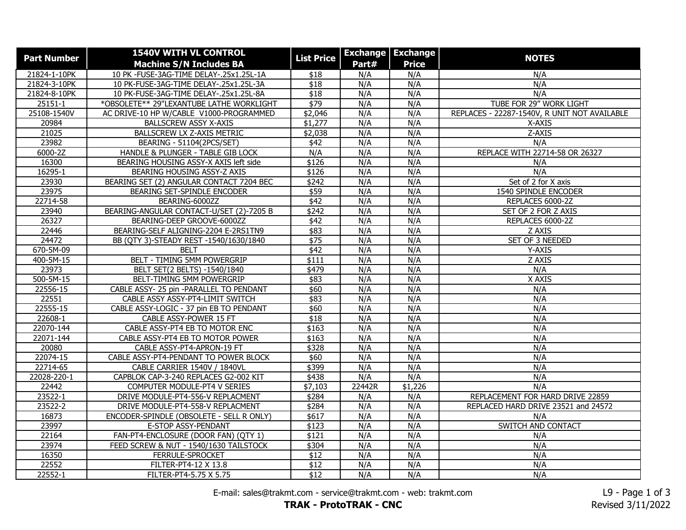| <b>Part Number</b> | <b>1540V WITH VL CONTROL</b>             |                   | <b>Exchange   Exchange</b> |              |                                              |
|--------------------|------------------------------------------|-------------------|----------------------------|--------------|----------------------------------------------|
|                    | <b>Machine S/N Includes BA</b>           | <b>List Price</b> | Part#                      | <b>Price</b> | <b>NOTES</b>                                 |
| 21824-1-10PK       | 10 PK -FUSE-3AG-TIME DELAY-.25x1.25L-1A  | \$18              | N/A                        | N/A          | N/A                                          |
| 21824-3-10PK       | 10 PK-FUSE-3AG-TIME DELAY-.25x1.25L-3A   | \$18              | N/A                        | N/A          | N/A                                          |
| 21824-8-10PK       | 10 PK-FUSE-3AG-TIME DELAY-.25x1.25L-8A   | $\overline{$18}$  | N/A                        | N/A          | N/A                                          |
| 25151-1            | *OBSOLETE** 29"LEXANTUBE LATHE WORKLIGHT | $\sqrt{$79}$      | N/A                        | N/A          | TUBE FOR 29" WORK LIGHT                      |
| 25108-1540V        | AC DRIVE-10 HP W/CABLE V1000-PROGRAMMED  | \$2,046           | N/A                        | N/A          | REPLACES - 22287-1540V, R UNIT NOT AVAILABLE |
| 20984              | <b>BALLSCREW ASSY X-AXIS</b>             | \$1,277           | N/A                        | N/A          | X-AXIS                                       |
| 21025              | BALLSCREW LX Z-AXIS METRIC               | \$2,038           | N/A                        | N/A          | Z-AXIS                                       |
| 23982              | BEARING - 51104(2PCS/SET)                | \$42              | N/A                        | N/A          | N/A                                          |
| 6000-2Z            | HANDLE & PLUNGER - TABLE GIB LOCK        | N/A               | N/A                        | N/A          | REPLACE WITH 22714-58 OR 26327               |
| 16300              | BEARING HOUSING ASSY-X AXIS left side    | \$126             | N/A                        | N/A          | N/A                                          |
| 16295-1            | BEARING HOUSING ASSY-Z AXIS              | \$126             | N/A                        | N/A          | N/A                                          |
| 23930              | BEARING SET (2) ANGULAR CONTACT 7204 BEC | \$242             | N/A                        | N/A          | Set of 2 for X axis                          |
| 23975              | BEARING SET-SPINDLE ENCODER              | \$59              | N/A                        | N/A          | 1540 SPINDLE ENCODER                         |
| 22714-58           | BEARING-6000ZZ                           | $\sqrt{$42}$      | N/A                        | N/A          | REPLACES 6000-2Z                             |
| 23940              | BEARING-ANGULAR CONTACT-U/SET (2)-7205 B | \$242             | N/A                        | N/A          | SET OF 2 FOR Z AXIS                          |
| 26327              | BEARING-DEEP GROOVE-6000ZZ               | $\sqrt{42}$       | N/A                        | N/A          | REPLACES 6000-2Z                             |
| 22446              | BEARING-SELF ALIGNING-2204 E-2RS1TN9     | \$83              | N/A                        | N/A          | Z AXIS                                       |
| $\frac{1}{24472}$  | BB (QTY 3)-STEADY REST -1540/1630/1840   | $\sqrt{$75}$      | N/A                        | N/A          | SET OF 3 NEEDED                              |
| 670-5M-09          | <b>BELT</b>                              | $\sqrt{42}$       | N/A                        | N/A          | Y-AXIS                                       |
| $400 - 5M - 15$    | <b>BELT - TIMING 5MM POWERGRIP</b>       | \$111             | N/A                        | N/A          | Z AXIS                                       |
| 23973              | BELT SET(2 BELTS) -1540/1840             | $\sqrt{$479}$     | N/A                        | N/A          | N/A                                          |
| 500-5M-15          | BELT-TIMING 5MM POWERGRIP                | \$83              | N/A                        | N/A          | X AXIS                                       |
| 22556-15           | CABLE ASSY- 25 pin -PARALLEL TO PENDANT  | \$60              | N/A                        | N/A          | N/A                                          |
| 22551              | CABLE ASSY ASSY-PT4-LIMIT SWITCH         | \$83              | N/A                        | N/A          | N/A                                          |
| 22555-15           | CABLE ASSY-LOGIC - 37 pin EB TO PENDANT  | \$60              | N/A                        | N/A          | N/A                                          |
| 22608-1            | CABLE ASSY-POWER 15 FT                   | \$18              | N/A                        | N/A          | N/A                                          |
| 22070-144          | CABLE ASSY-PT4 EB TO MOTOR ENC           | \$163             | N/A                        | N/A          | N/A                                          |
| 22071-144          | CABLE ASSY-PT4 EB TO MOTOR POWER         | \$163             | N/A                        | N/A          | N/A                                          |
| 20080              | CABLE ASSY-PT4-APRON-19 FT               | \$328             | N/A                        | N/A          | N/A                                          |
| 22074-15           | CABLE ASSY-PT4-PENDANT TO POWER BLOCK    | \$60              | N/A                        | N/A          | N/A                                          |
| 22714-65           | CABLE CARRIER 1540V / 1840VL             | \$399             | N/A                        | N/A          | N/A                                          |
| 22028-220-1        | CAPBLOK CAP-3-240 REPLACES G2-002 KIT    | \$438             | N/A                        | N/A          | N/A                                          |
| 22442              | COMPUTER MODULE-PT4 V SERIES             | \$7,103           | 22442R                     | \$1,226      | N/A                                          |
| 23522-1            | DRIVE MODULE-PT4-556-V REPLACMENT        | \$284             | N/A                        | N/A          | REPLACEMENT FOR HARD DRIVE 22859             |
| 23522-2            | DRIVE MODULE-PT4-558-V REPLACMENT        | \$284             | N/A                        | N/A          | REPLACED HARD DRIVE 23521 and 24572          |
| 16873              | ENCODER-SPINDLE (OBSOLETE - SELL R ONLY) | \$617             | N/A                        | N/A          | N/A                                          |
| 23997              | E-STOP ASSY-PENDANT                      | \$123             | N/A                        | N/A          | SWITCH AND CONTACT                           |
| 22164              | FAN-PT4-ENCLOSURE (DOOR FAN) (QTY 1)     | \$121             | N/A                        | N/A          | N/A                                          |
| 23974              | FEED SCREW & NUT - 1540/1630 TAILSTOCK   | \$304             | N/A                        | N/A          | N/A                                          |
| 16350              | FERRULE-SPROCKET                         | $\overline{$12}$  | N/A                        | N/A          | N/A                                          |
| 22552              | FILTER-PT4-12 X 13.8                     | \$12              | N/A                        | N/A          | N/A                                          |
| 22552-1            | FILTER-PT4-5.75 X 5.75                   | $\sqrt{$12}$      | N/A                        | N/A          | N/A                                          |

E-mail: sales@trakmt.com - service@trakmt.com - web: trakmt.com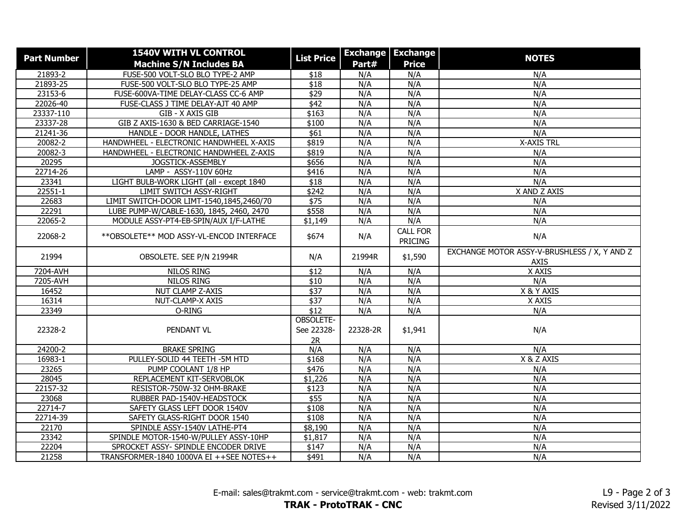| <b>Part Number</b> | <b>1540V WITH VL CONTROL</b><br><b>Machine S/N Includes BA</b> | <b>List Price</b>             | Part#      | <b>Exchange   Exchange</b><br><b>Price</b> | <b>NOTES</b>                                                |
|--------------------|----------------------------------------------------------------|-------------------------------|------------|--------------------------------------------|-------------------------------------------------------------|
| 21893-2            | FUSE-500 VOLT-SLO BLO TYPE-2 AMP                               | \$18                          | N/A        | N/A                                        | N/A                                                         |
| 21893-25           | FUSE-500 VOLT-SLO BLO TYPE-25 AMP                              | \$18                          | N/A        | N/A                                        | N/A                                                         |
| 23153-6            | FUSE-600VA-TIME DELAY-CLASS CC-6 AMP                           | \$29                          | N/A        | N/A                                        | N/A                                                         |
| 22026-40           | FUSE-CLASS J TIME DELAY-AJT 40 AMP                             | \$42                          | N/A        | N/A                                        | N/A                                                         |
| 23337-110          | GIB - X AXIS GIB                                               | \$163                         | N/A        | N/A                                        | N/A                                                         |
| 23337-28           | GIB Z AXIS-1630 & BED CARRIAGE-1540                            | \$100                         | N/A        | N/A                                        | N/A                                                         |
| 21241-36           | HANDLE - DOOR HANDLE, LATHES                                   | \$61                          | N/A        | N/A                                        | N/A                                                         |
| 20082-2            | HANDWHEEL - ELECTRONIC HANDWHEEL X-AXIS                        | \$819                         | N/A        | N/A                                        | <b>X-AXIS TRL</b>                                           |
| 20082-3            | HANDWHEEL - ELECTRONIC HANDWHEEL Z-AXIS                        | \$819                         | N/A        | N/A                                        | N/A                                                         |
| 20295              | JOGSTICK-ASSEMBLY                                              | \$656                         | N/A        | N/A                                        | N/A                                                         |
|                    |                                                                |                               | N/A        |                                            |                                                             |
| 22714-26           | LAMP - ASSY-110V 60Hz                                          | \$416                         |            | N/A                                        | N/A                                                         |
| 23341              | LIGHT BULB-WORK LIGHT (all - except 1840                       | $\overline{$18}$              | N/A<br>N/A | N/A                                        | N/A                                                         |
| $22551 - 1$        | <b>LIMIT SWITCH ASSY-RIGHT</b>                                 | \$242                         |            | N/A                                        | X AND Z AXIS                                                |
| 22683              | LIMIT SWITCH-DOOR LIMT-1540,1845,2460/70                       | \$75                          | N/A        | N/A                                        | N/A                                                         |
| 22291              | LUBE PUMP-W/CABLE-1630, 1845, 2460, 2470                       | \$558                         | N/A        | N/A                                        | N/A                                                         |
| 22065-2            | MODULE ASSY-PT4-EB-SPIN/AUX I/F-LATHE                          | \$1,149                       | N/A        | N/A                                        | N/A                                                         |
| 22068-2            | ** OBSOLETE ** MOD ASSY-VL-ENCOD INTERFACE                     | \$674                         | N/A        | <b>CALL FOR</b><br><b>PRICING</b>          | N/A                                                         |
| 21994              | OBSOLETE. SEE P/N 21994R                                       | N/A                           | 21994R     | \$1,590                                    | EXCHANGE MOTOR ASSY-V-BRUSHLESS / X, Y AND Z<br><b>AXIS</b> |
| 7204-AVH           | <b>NILOS RING</b>                                              | \$12                          | N/A        | N/A                                        | X AXIS                                                      |
| 7205-AVH           | <b>NILOS RING</b>                                              | \$10                          | N/A        | N/A                                        | N/A                                                         |
| 16452              | NUT CLAMP Z-AXIS                                               | \$37                          | N/A        | N/A                                        | X & Y AXIS                                                  |
| 16314              | NUT-CLAMP-X AXIS                                               | \$37                          | N/A        | N/A                                        | X AXIS                                                      |
| 23349              | O-RING                                                         | $\overline{$12}$              | N/A        | N/A                                        | N/A                                                         |
| 22328-2            | PENDANT VL                                                     | OBSOLETE-<br>See 22328-<br>2R | 22328-2R   | \$1,941                                    | N/A                                                         |
| 24200-2            | <b>BRAKE SPRING</b>                                            | N/A                           | N/A        | N/A                                        | N/A                                                         |
| 16983-1            | PULLEY-SOLID 44 TEETH -5M HTD                                  | \$168                         | N/A        | N/A                                        | X & Z AXIS                                                  |
| 23265              | PUMP COOLANT 1/8 HP                                            | \$476                         | N/A        | N/A                                        | N/A                                                         |
| 28045              | REPLACEMENT KIT-SERVOBLOK                                      | \$1,226                       | N/A        | N/A                                        | N/A                                                         |
| 22157-32           | RESISTOR-750W-32 OHM-BRAKE                                     | \$123                         | N/A        | N/A                                        | N/A                                                         |
| 23068              | RUBBER PAD-1540V-HEADSTOCK                                     | \$55                          | N/A        | N/A                                        | N/A                                                         |
| 22714-7            | SAFETY GLASS LEFT DOOR 1540V                                   | \$108                         | N/A        | N/A                                        | N/A                                                         |
| 22714-39           | SAFETY GLASS-RIGHT DOOR 1540                                   | \$108                         | N/A        | N/A                                        | N/A                                                         |
| 22170              | SPINDLE ASSY-1540V LATHE-PT4                                   | \$8,190                       | N/A        | N/A                                        | N/A                                                         |
| 23342              | SPINDLE MOTOR-1540-W/PULLEY ASSY-10HP                          | \$1,817                       | N/A        | N/A                                        | N/A                                                         |
| 22204              | SPROCKET ASSY- SPINDLE ENCODER DRIVE                           | \$147                         | N/A        | N/A                                        | N/A                                                         |
| 21258              | TRANSFORMER-1840 1000VA EI ++SEE NOTES++                       | \$491                         | N/A        | N/A                                        | N/A                                                         |